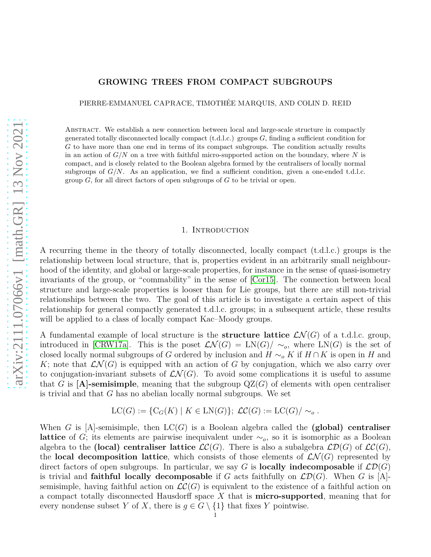# **GROWING TREES FROM COMPACT SUBGROUPS**

PIERRE-EMMANUEL CAPRACE, TIMOTHÉE MARQUIS, AND COLIN D. REID

Abstract. We establish a new connection between local and large-scale structure in compactly generated totally disconnected locally compact (t.d.l.c.) groups *G*, finding a sufficient condition for *G* to have more than one end in terms of its compact subgroups. The condition actually results in an action of  $G/N$  on a tree with faithful micro-supported action on the boundary, where  $N$  is compact, and is closely related to the Boolean algebra formed by the centralisers of locally normal subgroups of  $G/N$ . As an application, we find a sufficient condition, given a one-ended t.d.l.c. group *G*, for all direct factors of open subgroups of *G* to be trivial or open.

#### 1. Introduction

A recurring theme in the theory of totally disconnected, locally compact (t.d.l.c.) groups is the relationship between local structure, that is, properties evident in an arbitrarily small neighbourhood of the identity, and global or large-scale properties, for instance in the sense of quasi-isometry invariants of the group, or "commability" in the sense of [\[Cor15\]](#page-18-0). The connection between local structure and large-scale properties is looser than for Lie groups, but there are still non-trivial relationships between the two. The goal of this article is to investigate a certain aspect of this relationship for general compactly generated t.d.l.c. groups; in a subsequent article, these results will be applied to a class of locally compact Kac–Moody groups.

A fundamental example of local structure is the **structure lattice**  $\mathcal{LN}(G)$  of a t.d.l.c. group, introduced in [\[CRW17a\]](#page-18-1). This is the poset  $\mathcal{LN}(G) = LN(G)/\sim_o$ , where  $LN(G)$  is the set of closed locally normal subgroups of *G* ordered by inclusion and  $H \sim_{o} K$  if  $H \cap K$  is open in *H* and *K*; note that  $\mathcal{LN}(G)$  is equipped with an action of *G* by conjugation, which we also carry over to conjugation-invariant subsets of  $\mathcal{LN}(G)$ . To avoid some complications it is useful to assume that *G* is  $[A]$ -semisimple, meaning that the subgroup  $QZ(G)$  of elements with open centraliser is trivial and that *G* has no abelian locally normal subgroups. We set

$$
LC(G) := \{ C_G(K) \mid K \in LN(G) \}; \ \mathcal{LC}(G) := LC(G) / \sim_o.
$$

When *G* is [A]-semisimple, then LC(*G*) is a Boolean algebra called the **(global) centraliser lattice** of *G*; its elements are pairwise inequivalent under  $\sim_o$ , so it is isomorphic as a Boolean algebra to the **(local) centraliser lattice**  $\mathcal{LC}(G)$ . There is also a subalgebra  $\mathcal{LD}(G)$  of  $\mathcal{LC}(G)$ , the **local decomposition lattice**, which consists of those elements of  $\mathcal{LN}(G)$  represented by direct factors of open subgroups. In particular, we say G is **locally indecomposable** if  $\mathcal{LD}(G)$ is trivial and **faithful locally decomposable** if *G* acts faithfully on  $\mathcal{LD}(G)$ . When *G* is [A]semisimple, having faithful action on  $\mathcal{LC}(G)$  is equivalent to the existence of a faithful action on a compact totally disconnected Hausdorff space *X* that is **micro-supported**, meaning that for every nondense subset *Y* of *X*, there is  $g \in G \setminus \{1\}$  that fixes *Y* pointwise.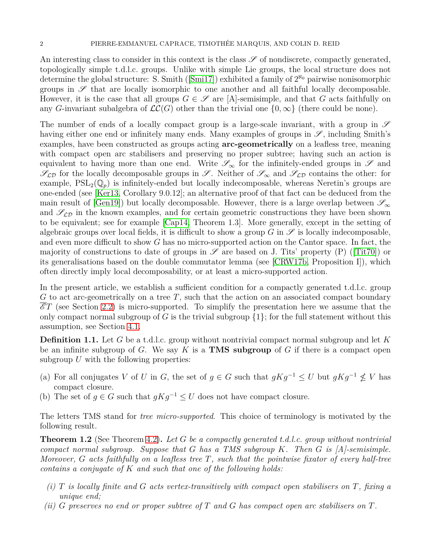An interesting class to consider in this context is the class  $\mathscr S$  of nondiscrete, compactly generated, topologically simple t.d.l.c. groups. Unlike with simple Lie groups, the local structure does not determinethe global structure: S. Smith ([\[Smi17\]](#page-19-0)) exhibited a family of  $2^{\aleph_0}$  pairwise nonisomorphic groups in  $\mathscr S$  that are locally isomorphic to one another and all faithful locally decomposable. However, it is the case that all groups  $G \in \mathscr{S}$  are [A]-semisimple, and that *G* acts faithfully on any *G*-invariant subalgebra of  $\mathcal{LC}(G)$  other than the trivial one  $\{0,\infty\}$  (there could be none).

The number of ends of a locally compact group is a large-scale invariant, with a group in  $\mathscr S$ having either one end or infinitely many ends. Many examples of groups in  $\mathscr{S}$ , including Smith's examples, have been constructed as groups acting **arc-geometrically** on a leafless tree, meaning with compact open arc stabilisers and preserving no proper subtree; having such an action is equivalent to having more than one end. Write  $\mathscr{S}_{\infty}$  for the infinitely-ended groups in  $\mathscr{S}$  and  $\mathscr{S}_{\mathcal{L}\mathcal{D}}$  for the locally decomposable groups in  $\mathscr{S}$ . Neither of  $\mathscr{S}_{\infty}$  and  $\mathscr{S}_{\mathcal{L}\mathcal{D}}$  contains the other: for example,  $PSL_2(\mathbb{Q}_p)$  is infinitely-ended but locally indecomposable, whereas Neretin's groups are one-ended (see [\[Ker13,](#page-18-2) Corollary 9.0.12]; an alternative proof of that fact can be deduced from the main result of [\[Gen19\]](#page-18-3)) but locally decomposable. However, there is a large overlap between  $\mathscr{S}_{\infty}$ and  $\mathscr{S}_{\mathcal{L}\mathcal{D}}$  in the known examples, and for certain geometric constructions they have been shown to be equivalent; see for example [\[Cap14,](#page-18-4) Theorem 1.3]. More generally, except in the setting of algebraic groups over local fields, it is difficult to show a group  $G$  in  $\mathscr S$  is locally indecomposable, and even more difficult to show *G* has no micro-supported action on the Cantor space. In fact, the majorityof constructions to date of groups in  $\mathscr S$  are based on J. Tits' property (P) ([\[Tit70\]](#page-19-1)) or its generalisations based on the double commutator lemma (see [\[CRW17b,](#page-18-5) Proposition I]), which often directly imply local decomposability, or at least a micro-supported action.

In the present article, we establish a sufficient condition for a compactly generated t.d.l.c. group *G* to act arc-geometrically on a tree *T*, such that the action on an associated compact boundary  $\mathscr{E}T$  (see Section [2.2\)](#page-4-0) is micro-supported. To simplify the presentation here we assume that the only compact normal subgroup of *G* is the trivial subgroup  $\{1\}$ ; for the full statement without this assumption, see Section [4.1.](#page-11-0)

**Definition 1.1.** Let *G* be a t.d.l.c. group without nontrivial compact normal subgroup and let *K* be an infinite subgroup of *G*. We say *K* is a **TMS subgroup** of *G* if there is a compact open subgroup U with the following properties:

- (a) For all conjugates *V* of *U* in *G*, the set of  $g \in G$  such that  $gKg^{-1} \leq U$  but  $gKg^{-1} \nleq V$  has compact closure.
- (b) The set of  $q \in G$  such that  $qKq^{-1} \leq U$  does not have compact closure.

The letters TMS stand for *tree micro-supported*. This choice of terminology is motivated by the following result.

<span id="page-1-0"></span>**Theorem 1.2** (See Theorem [4.2\)](#page-11-1)**.** *Let G be a compactly generated t.d.l.c. group without nontrivial compact normal subgroup. Suppose that G has a TMS subgroup K. Then G is [A]-semisimple. Moreover, G acts faithfully on a leafless tree T, such that the pointwise fixator of every half-tree contains a conjugate of K and such that one of the following holds:*

- *(i) T is locally finite and G acts vertex-transitively with compact open stabilisers on T, fixing a unique end;*
- *(ii) G preserves no end or proper subtree of T and G has compact open arc stabilisers on T.*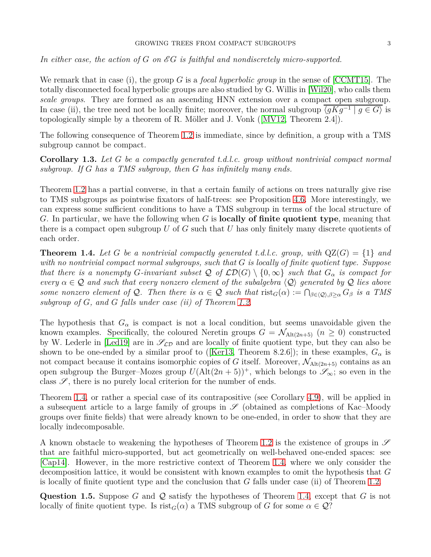## GROWING TREES FROM COMPACT SUBGROUPS 3

In either case, the action of G on EG is faithful and nondiscretely micro-supported.

We remark that in case (i), the group *G* is a *focal hyperbolic group* in the sense of [\[CCMT15\]](#page-18-6). The totally disconnected focal hyperbolic groups are also studied by G. Willis in [\[Wil20\]](#page-19-2), who calls them *scale groups*. They are formed as an ascending HNN extension over a compact open subgroup. In case (ii), the tree need not be locally finite; moreover, the normal subgroup  $\langle gKg^{-1} | g \in G \rangle$  is topologicallysimple by a theorem of R. Möller and J. Vonk  $([MVI2, Theorem 2.4])$ .

The following consequence of Theorem [1.2](#page-1-0) is immediate, since by definition, a group with a TMS subgroup cannot be compact.

**Corollary 1.3.** *Let G be a compactly generated t.d.l.c. group without nontrivial compact normal subgroup. If G has a TMS subgroup, then G has infinitely many ends.*

Theorem [1.2](#page-1-0) has a partial converse, in that a certain family of actions on trees naturally give rise to TMS subgroups as pointwise fixators of half-trees: see Proposition [4.6.](#page-15-0) More interestingly, we can express some sufficient conditions to have a TMS subgroup in terms of the local structure of *G*. In particular, we have the following when *G* is **locally of finite quotient type**, meaning that there is a compact open subgroup *U* of *G* such that *U* has only finitely many discrete quotients of each order.

<span id="page-2-0"></span>**Theorem 1.4.** Let G be a nontrivial compactly generated t.d.l.c. group, with  $QZ(G) = \{1\}$  and *with no nontrivial compact normal subgroups, such that G is locally of finite quotient type. Suppose that there is a nonempty G*-invariant subset  $\mathcal Q$  of  $\mathcal{LD}(G) \setminus \{0,\infty\}$  such that  $G_\alpha$  is compact for *every*  $\alpha \in \mathcal{Q}$  *and such that every nonzero element of the subalgebra*  $\langle \mathcal{Q} \rangle$  *generated by*  $\mathcal{Q}$  *lies above some nonzero element of*  $Q$ *. Then there is*  $\alpha \in Q$  *such that*  $\text{rist}_G(\alpha) := \bigcap_{\beta \in \langle Q \rangle, \beta \geq \alpha} G_{\beta}$  *is a TMS subgroup of G, and G falls under case (ii) of Theorem [1.2.](#page-1-0)*

The hypothesis that  $G_{\alpha}$  is compact is not a local condition, but seems unavoidable given the known examples. Specifically, the coloured Neretin groups  $G = \mathcal{N}_{\text{Alt}(2n+5)}$  ( $n \geq 0$ ) constructed by W. Lederle in [\[Led19\]](#page-19-4) are in  $\mathscr{S}_{\mathcal{LD}}$  and are locally of finite quotient type, but they can also be shownto be one-ended by a similar proof to ([\[Ker13,](#page-18-2) Theorem 8.2.6]); in these examples,  $G_{\alpha}$  is not compact because it contains isomorphic copies of *G* itself. Moreover,  $\mathcal{N}_{\text{Alt}(2n+5)}$  contains as an open subgroup the Burger–Mozes group  $U(\text{Alt}(2n + 5))^+$ , which belongs to  $\mathscr{S}_{\infty}$ ; so even in the class  $\mathscr{S}$ , there is no purely local criterion for the number of ends.

Theorem [1.4,](#page-2-0) or rather a special case of its contrapositive (see Corollary [4.9\)](#page-18-7), will be applied in a subsequent article to a large family of groups in  $\mathscr S$  (obtained as completions of Kac–Moody groups over finite fields) that were already known to be one-ended, in order to show that they are locally indecomposable.

A known obstacle to weakening the hypotheses of Theorem [1.2](#page-1-0) is the existence of groups in  $\mathscr S$ that are faithful micro-supported, but act geometrically on well-behaved one-ended spaces: see [\[Cap14\]](#page-18-4). However, in the more restrictive context of Theorem [1.4,](#page-2-0) where we only consider the decomposition lattice, it would be consistent with known examples to omit the hypothesis that *G* is locally of finite quotient type and the conclusion that *G* falls under case (ii) of Theorem [1.2.](#page-1-0)

**Question 1.5.** Suppose *G* and Q satisfy the hypotheses of Theorem [1.4,](#page-2-0) except that *G* is not locally of finite quotient type. Is  $rist_G(\alpha)$  a TMS subgroup of *G* for some  $\alpha \in \mathcal{Q}$ ?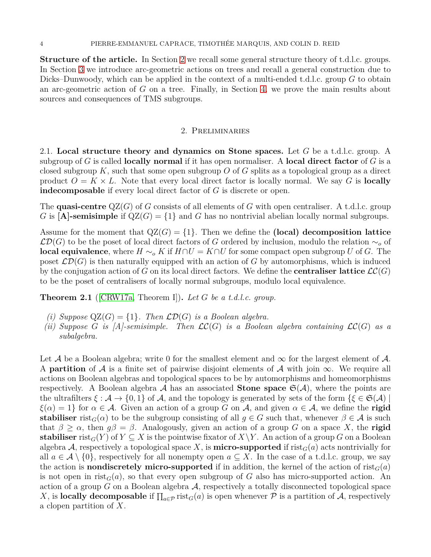**Structure of the article.** In Section [2](#page-3-0) we recall some general structure theory of t.d.l.c. groups. In Section [3](#page-7-0) we introduce arc-geometric actions on trees and recall a general construction due to Dicks–Dunwoody, which can be applied in the context of a multi-ended t.d.l.c. group *G* to obtain an arc-geometric action of *G* on a tree. Finally, in Section [4,](#page-11-2) we prove the main results about sources and consequences of TMS subgroups.

## 2. Preliminaries

<span id="page-3-0"></span>2.1. **Local structure theory and dynamics on Stone spaces.** Let *G* be a t.d.l.c. group. A subgroup of *G* is called **locally normal** if it has open normaliser. A **local direct factor** of *G* is a closed subgroup *K*, such that some open subgroup *O* of *G* splits as a topological group as a direct product  $O = K \times L$ . Note that every local direct factor is locally normal. We say G is **locally indecomposable** if every local direct factor of *G* is discrete or open.

The **quasi-centre** QZ(*G*) of *G* consists of all elements of *G* with open centraliser. A t.d.l.c. group *G* is [A]-semisimple if  $QZ(G) = \{1\}$  and *G* has no nontrivial abelian locally normal subgroups.

Assume for the moment that  $QZ(G) = \{1\}$ . Then we define the **(local) decomposition lattice** LD(*G*) to be the poset of local direct factors of *G* ordered by inclusion, modulo the relation ∼*<sup>o</sup>* of **local equivalence**, where  $H \sim_{o} K$  if  $H \cap U = K \cap U$  for some compact open subgroup *U* of *G*. The poset  $\mathcal{LD}(G)$  is then naturally equipped with an action of G by automorphisms, which is induced by the conjugation action of *G* on its local direct factors. We define the **centraliser lattice**  $\mathcal{LC}(G)$ to be the poset of centralisers of locally normal subgroups, modulo local equivalence.

**Theorem 2.1** ([\[CRW17a,](#page-18-1) Theorem I])**.** *Let G be a t.d.l.c. group.*

- *(i)* Suppose  $QZ(G) = \{1\}$ . Then  $\mathcal{LD}(G)$  *is a Boolean algebra.*
- *(ii)* Suppose *G is* [A]-semisimple. Then  $\mathcal{LC}(G)$  *is a Boolean algebra containing*  $\mathcal{LC}(G)$  *as a subalgebra.*

Let A be a Boolean algebra; write 0 for the smallest element and  $\infty$  for the largest element of A. A **partition** of A is a finite set of pairwise disjoint elements of A with join  $\infty$ . We require all actions on Boolean algebras and topological spaces to be by automorphisms and homeomorphisms respectively. A Boolean algebra  $A$  has an associated **Stone space**  $\mathfrak{S}(\mathcal{A})$ , where the points are the ultrafilters  $\xi : \mathcal{A} \to \{0,1\}$  of  $\mathcal{A}$ , and the topology is generated by sets of the form  $\{\xi \in \mathfrak{S}(\mathcal{A})\}$  $\xi(\alpha) = 1$  for  $\alpha \in \mathcal{A}$ . Given an action of a group *G* on  $\mathcal{A}$ , and given  $\alpha \in \mathcal{A}$ , we define the **rigid stabiliser** rist<sub>*G*</sub>( $\alpha$ ) to be the subgroup consisting of all  $g \in G$  such that, whenever  $\beta \in \mathcal{A}$  is such that  $\beta \geq \alpha$ , then  $g\beta = \beta$ . Analogously, given an action of a group *G* on a space *X*, the **rigid stabiliser** rist<sub>*G*</sub>(*Y*) of *Y*  $\subseteq$  *X* is the pointwise fixator of *X*\*Y*. An action of a group *G* on a Boolean algebra A, respectively a topological space X, is **micro-supported** if  $\text{rist}_G(a)$  acts nontrivially for all  $a \in \mathcal{A} \setminus \{0\}$ , respectively for all nonempty open  $a \subseteq X$ . In the case of a t.d.l.c. group, we say the action is **nondiscretely micro-supported** if in addition, the kernel of the action of  $\text{rist}_G(a)$ is not open in rist<sub> $G$ </sub>(*a*), so that every open subgroup of G also has micro-supported action. An action of a group  $G$  on a Boolean algebra  $A$ , respectively a totally disconnected topological space *X*, is **locally decomposable** if  $\prod_{a \in \mathcal{P}} \text{rist}_G(a)$  is open whenever  $\mathcal{P}$  is a partition of A, respectively a clopen partition of *X*.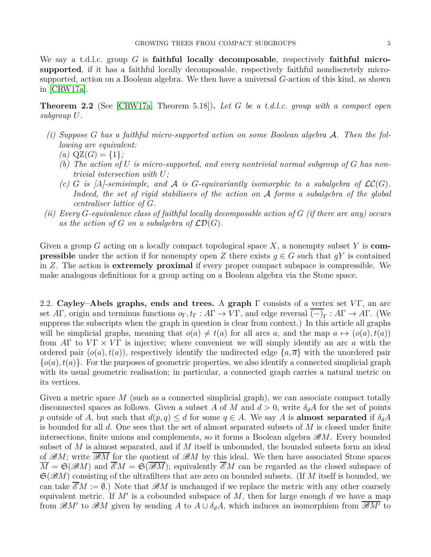We say a t.d.l.c. group *G* is **faithful locally decomposable**, respectively **faithful microsupported**, if it has a faithful locally decomposable, respectively faithful nondiscretely microsupported, action on a Boolean algebra. We then have a universal *G*-action of this kind, as shown in [\[CRW17a\]](#page-18-1).

<span id="page-4-1"></span>**Theorem 2.2** (See [\[CRW17a,](#page-18-1) Theorem 5.18])**.** *Let G be a t.d.l.c. group with a compact open subgroup U.*

- *(i) Suppose G has a faithful micro-supported action on some Boolean algebra* A*. Then the following are equivalent:*
	- $(a)$  QZ $(G) = \{1\}$ ;
	- *(b) The action of U is micro-supported, and every nontrivial normal subgroup of G has nontrivial intersection with U;*
	- *(c) G is*  $[A]$ -semisimple, and A is *G*-equivariantly isomorphic to a subalgebra of  $\mathcal{LC}(G)$ . *Indeed, the set of rigid stabilisers of the action on* A *forms a subalgebra of the global centraliser lattice of G.*
- *(ii) Every G-equivalence class of faithful locally decomposable action of G (if there are any) occurs* as the action of  $G$  on a subalgebra of  $\mathcal{LD}(G)$ .

Given a group *G* acting on a locally compact topological space *X*, a nonempty subset *Y* is **compressible** under the action if for nonempty open *Z* there exists  $g \in G$  such that  $gY$  is contained in *Z*. The action is **extremely proximal** if every proper compact subspace is compressible. We make analogous definitions for a group acting on a Boolean algebra via the Stone space.

<span id="page-4-0"></span>2.2. **Cayley–Abels graphs, ends and trees.** A **graph** Γ consists of a vertex set *V* Γ, an arc set  $A\Gamma$ , origin and terminus functions  $o_{\Gamma}$ ,  $t_{\Gamma}: A\Gamma \to V\Gamma$ , and edge reversal  $(-)_{\Gamma}: A\Gamma \to A\Gamma$ . (We suppress the subscripts when the graph in question is clear from context.) In this article all graphs will be simplicial graphs, meaning that  $o(a) \neq t(a)$  for all arcs *a*, and the map  $a \mapsto (o(a), t(a))$ from *A*Γ to *V* Γ × *V* Γ is injective; where convenient we will simply identify an arc *a* with the ordered pair  $(o(a), t(a))$ , respectively identify the undirected edge  $\{a, \overline{a}\}\$  with the unordered pair  ${o(a), t(a)}$ . For the purposes of geometric properties, we also identify a connected simplicial graph with its usual geometric realisation; in particular, a connected graph carries a natural metric on its vertices.

Given a metric space M (such as a connected simplicial graph), we can associate compact totally disconnected spaces as follows. Given a subset A of M and  $d > 0$ , write  $\delta_d A$  for the set of points *p* outside of *A*, but such that  $d(p,q) \leq d$  for some  $q \in A$ . We say *A* is **almost separated** if  $\delta_d A$ is bounded for all *d*. One sees that the set of almost separated subsets of *M* is closed under finite intersections, finite unions and complements, so it forms a Boolean algebra B*M*. Every bounded subset of *M* is almost separated, and if *M* itself is unbounded, the bounded subsets form an ideal of  $\mathscr{B}M$ ; write  $\overline{\mathscr{B}M}$  for the quotient of  $\mathscr{B}M$  by this ideal. We then have associated Stone spaces  $\overline{M} = \mathfrak{S}(\mathscr{B}M)$  and  $\mathscr{E}M = \mathfrak{S}(\mathscr{B}M)$ ; equivalently  $\mathscr{E}M$  can be regarded as the closed subspace of S(B*M*) consisting of the ultrafilters that are zero on bounded subsets. (If *M* itself is bounded, we can take  $\mathscr{E}_M := \emptyset$ .) Note that  $\mathscr{B}_M$  is unchanged if we replace the metric with any other coarsely equivalent metric. If *M*′ is a cobounded subspace of *M*, then for large enough *d* we have a map from  $\mathscr{B}M'$  to  $\mathscr{B}M$  given by sending *A* to  $A \cup \delta_d A$ , which induces an isomorphism from  $\overline{\mathscr{B}M'}$  to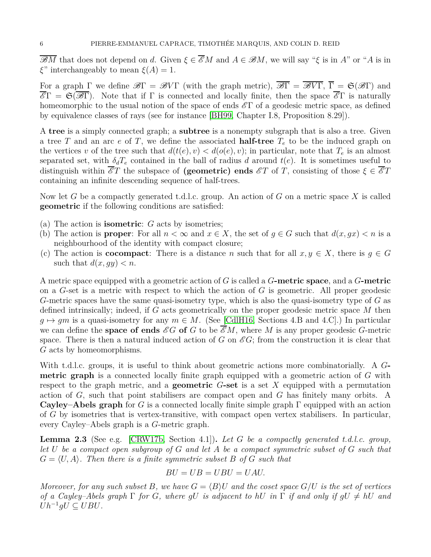$\overline{\mathscr{B}M}$  that does not depend on *d*. Given  $\xi \in \overline{\mathscr{E}M}$  and  $A \in \mathscr{B}M$ , we will say " $\xi$  is in  $A$ " or "A is in *ξ*" interchangeably to mean  $\xi(A) = 1$ .

For a graph  $\Gamma$  we define  $\mathscr{B}\Gamma = \mathscr{B}V\Gamma$  (with the graph metric),  $\overline{\mathscr{B}\Gamma} = \overline{\mathscr{B}V\Gamma}$ ,  $\overline{\Gamma} = \mathfrak{S}(\mathscr{B}\Gamma)$  and  $\overline{\mathscr{E}}\Gamma = \mathfrak{S}(\overline{\mathscr{B}}\Gamma)$ . Note that if  $\Gamma$  is connected and locally finite, then the space  $\overline{\mathscr{E}}\Gamma$  is naturally homeomorphic to the usual notion of the space of ends  $\mathscr{E}\Gamma$  of a geodesic metric space, as defined by equivalence classes of rays (see for instance [\[BH99,](#page-18-8) Chapter I.8, Proposition 8.29]).

A **tree** is a simply connected graph; a **subtree** is a nonempty subgraph that is also a tree. Given a tree *T* and an arc *e* of *T*, we define the associated **half-tree** *T<sup>e</sup>* to be the induced graph on the vertices *v* of the tree such that  $d(t(e), v) < d(o(e), v)$ ; in particular, note that  $T_e$  is an almost separated set, with  $\delta_d T_e$  contained in the ball of radius *d* around  $t(e)$ . It is sometimes useful to distinguish within  $\overline{\mathscr{E}}T$  the subspace of **(geometric) ends**  $\mathscr{E}T$  of T, consisting of those  $\xi \in \overline{\mathscr{E}}T$ containing an infinite descending sequence of half-trees.

Now let *G* be a compactly generated t.d.l.c. group. An action of *G* on a metric space *X* is called **geometric** if the following conditions are satisfied:

- (a) The action is **isometric**: *G* acts by isometries;
- (b) The action is **proper**: For all  $n < \infty$  and  $x \in X$ , the set of  $g \in G$  such that  $d(x, gx) < n$  is a neighbourhood of the identity with compact closure;
- (c) The action is **cocompact**: There is a distance *n* such that for all  $x, y \in X$ , there is  $q \in G$ such that  $d(x, gy) < n$ .

A metric space equipped with a geometric action of *G* is called a *G***-metric space**, and a *G***-metric** on a *G*-set is a metric with respect to which the action of *G* is geometric. All proper geodesic *G*-metric spaces have the same quasi-isometry type, which is also the quasi-isometry type of *G* as defined intrinsically; indeed, if *G* acts geometrically on the proper geodesic metric space *M* then  $g \mapsto gm$  is a quasi-isometry for any  $m \in M$ . (See [\[CdlH16,](#page-18-9) Sections 4.B and 4.C].) In particular we can define the **space of ends**  $\mathscr{E}G$  of G to be  $\overline{\mathscr{E}}M$ , where M is any proper geodesic G-metric space. There is then a natural induced action of *G* on  $\mathscr{E}G$ ; from the construction it is clear that *G* acts by homeomorphisms.

With t.d.l.c. groups, it is useful to think about geometric actions more combinatorially. A *G***metric graph** is a connected locally finite graph equipped with a geometric action of *G* with respect to the graph metric, and a **geometric** *G***-set** is a set *X* equipped with a permutation action of *G*, such that point stabilisers are compact open and *G* has finitely many orbits. A **Cayley–Abels graph** for *G* is a connected locally finite simple graph Γ equipped with an action of *G* by isometries that is vertex-transitive, with compact open vertex stabilisers. In particular, every Cayley–Abels graph is a *G*-metric graph.

<span id="page-5-0"></span>**Lemma 2.3** (See e.g. [\[CRW17b,](#page-18-5) Section 4.1])**.** *Let G be a compactly generated t.d.l.c. group, let U be a compact open subgroup of G and let A be a compact symmetric subset of G such that*  $G = \langle U, A \rangle$ . Then there is a finite symmetric subset B of G such that

$$
BU = UB = UBU = UAU.
$$

*Moreover, for any such subset B, we have*  $G = \langle B \rangle U$  *and the coset space*  $G/U$  *is the set of vertices of a Cayley–Abels graph*  $\Gamma$  *for G, where qU is adjacent to hU in*  $\Gamma$  *if and only if*  $qU \neq hU$  *and*  $Uh^{-1}gU\subseteq UBU$ *.*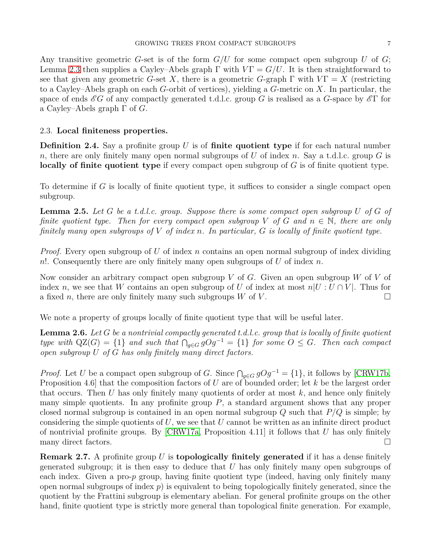Any transitive geometric *G*-set is of the form *G/U* for some compact open subgroup *U* of *G*; Lemma [2.3](#page-5-0) then supplies a Cayley–Abels graph  $\Gamma$  with  $V\Gamma = G/U$ . It is then straightforward to see that given any geometric *G*-set *X*, there is a geometric *G*-graph  $\Gamma$  with  $V\Gamma = X$  (restricting to a Cayley–Abels graph on each *G*-orbit of vertices), yielding a *G*-metric on *X*. In particular, the space of ends  $\mathscr{E}G$  of any compactly generated t.d.l.c. group *G* is realised as a *G*-space by  $\mathscr{E}\Gamma$  for a Cayley–Abels graph Γ of *G*.

# 2.3. **Local finiteness properties.**

**Definition 2.4.** Say a profinite group *U* is of **finite quotient type** if for each natural number *n*, there are only finitely many open normal subgroups of *U* of index *n*. Say a t.d.l.c. group *G* is **locally of finite quotient type** if every compact open subgroup of *G* is of finite quotient type.

To determine if *G* is locally of finite quotient type, it suffices to consider a single compact open subgroup.

**Lemma 2.5.** *Let G be a t.d.l.c. group. Suppose there is some compact open subgroup U of G of finite quotient type. Then for every compact open subgroup*  $V$  *of*  $G$  *and*  $n \in \mathbb{N}$ *, there are only finitely many open subgroups of V of index n. In particular, G is locally of finite quotient type.*

*Proof.* Every open subgroup of *U* of index *n* contains an open normal subgroup of index dividing *n*!. Consequently there are only finitely many open subgroups of *U* of index *n*.

Now consider an arbitrary compact open subgroup *V* of *G*. Given an open subgroup *W* of *V* of index *n*, we see that *W* contains an open subgroup of *U* of index at most  $n|U:U\cap V|$ . Thus for a fixed *n*, there are only finitely many such subgroups *W* of *V*.

We note a property of groups locally of finite quotient type that will be useful later.

<span id="page-6-0"></span>**Lemma 2.6.** *Let G be a nontrivial compactly generated t.d.l.c. group that is locally of finite quotient type with*  $QZ(G) = \{1\}$  *and such that*  $\bigcap_{g \in G} gOg^{-1} = \{1\}$  *for some*  $O \leq G$ *. Then each compact open subgroup U of G has only finitely many direct factors.*

*Proof.* Let *U* be a compact open subgroup of *G*. Since  $\bigcap_{g \in G} gOg^{-1} = \{1\}$ , it follows by [\[CRW17b,](#page-18-5) Proposition 4.6] that the composition factors of *U* are of bounded order; let *k* be the largest order that occurs. Then *U* has only finitely many quotients of order at most *k*, and hence only finitely many simple quotients. In any profinite group  $P$ , a standard argument shows that any proper closed normal subgroup is contained in an open normal subgroup *Q* such that *P/Q* is simple; by considering the simple quotients of *U*, we see that *U* cannot be written as an infinite direct product of nontrivial profinite groups. By [\[CRW17a,](#page-18-1) Proposition 4.11] it follows that *U* has only finitely many direct factors.

**Remark 2.7.** A profinite group *U* is **topologically finitely generated** if it has a dense finitely generated subgroup; it is then easy to deduce that *U* has only finitely many open subgroups of each index. Given a pro-*p* group, having finite quotient type (indeed, having only finitely many open normal subgroups of index  $p$ ) is equivalent to being topologically finitely generated, since the quotient by the Frattini subgroup is elementary abelian. For general profinite groups on the other hand, finite quotient type is strictly more general than topological finite generation. For example,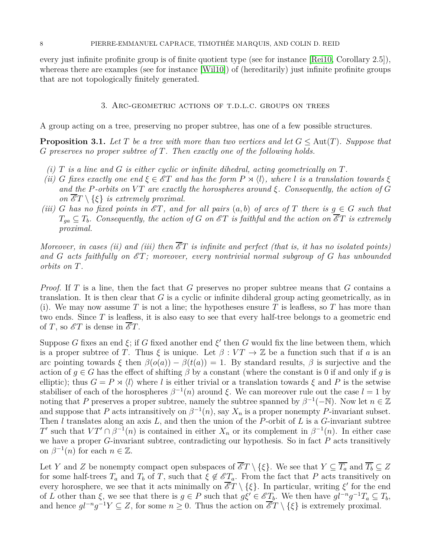<span id="page-7-0"></span>every just infinite profinite group is of finite quotient type (see for instance [\[Rei10,](#page-19-5) Corollary 2.5]), whereas there are examples (see for instance [\[Wil10\]](#page-19-6)) of (hereditarily) just infinite profinite groups that are not topologically finitely generated.

### 3. Arc-geometric actions of t.d.l.c. groups on trees

A group acting on a tree, preserving no proper subtree, has one of a few possible structures.

<span id="page-7-1"></span>**Proposition 3.1.** Let  $T$  be a tree with more than two vertices and let  $G \leq \text{Aut}(T)$ . Suppose that *G preserves no proper subtree of T. Then exactly one of the following holds.*

- *(i) T is a line and G is either cyclic or infinite dihedral, acting geometrically on T.*
- *(ii) G* fixes exactly one end  $\xi \in \mathscr{E}T$  and has the form  $P \rtimes \langle l \rangle$ , where *l is a translation towards*  $\xi$ *and the P*-orbits on VT are exactly the horospheres around  $\xi$ . Consequently, the action of G *on*  $\overline{\mathscr{E}}T \setminus \{\xi\}$  *is extremely proximal.*
- *(iii) G* has no fixed points in  $\mathscr{E}T$ , and for all pairs  $(a, b)$  of arcs of T there is  $g \in G$  such that  $T_{ga} \subseteq T_b$ *. Consequently, the action of G on*  $\mathscr{E}T$  *is faithful and the action on*  $\overline{\mathscr{E}T}$  *is extremely proximal.*

*Moreover, in cases (ii) and (iii) then*  $\overline{\mathscr{E}}T$  *is infinite and perfect (that is, it has no isolated points)* and  $G$  acts faithfully on  $\mathscr{E}T$ ; moreover, every nontrivial normal subgroup of  $G$  has unbounded *orbits on T.*

*Proof.* If *T* is a line, then the fact that *G* preserves no proper subtree means that *G* contains a translation. It is then clear that *G* is a cyclic or infinite dihderal group acting geometrically, as in (i). We may now assume T is not a line; the hypotheses ensure T is leafless, so T has more than two ends. Since *T* is leafless, it is also easy to see that every half-tree belongs to a geometric end of *T*, so  $\mathscr{E}T$  is dense in  $\mathscr{E}T$ .

Suppose *G* fixes an end  $\xi$ ; if *G* fixed another end  $\xi'$  then *G* would fix the line between them, which is a proper subtree of *T*. Thus  $\xi$  is unique. Let  $\beta: VT \to \mathbb{Z}$  be a function such that if *a* is an arc pointing towards  $\xi$  then  $\beta(o(a)) - \beta(t(a)) = 1$ . By standard results,  $\beta$  is surjective and the action of  $q \in G$  has the effect of shifting  $\beta$  by a constant (where the constant is 0 if and only if *q* is elliptic); thus  $G = P \rtimes \langle l \rangle$  where *l* is either trivial or a translation towards  $\xi$  and  $P$  is the setwise stabiliser of each of the horospheres  $\beta^{-1}(n)$  around  $\xi$ . We can moreover rule out the case  $l = 1$  by noting that *P* preserves a proper subtree, namely the subtree spanned by  $\beta^{-1}(-\mathbb{N})$ . Now let  $n \in \mathbb{Z}$ and suppose that *P* acts intransitively on  $\beta^{-1}(n)$ , say  $X_n$  is a proper nonempty *P*-invariant subset. Then *l* translates along an axis *L*, and then the union of the *P*-orbit of *L* is a *G*-invariant subtree *T*<sup> $T'$ </sup> such that  $VT' \cap \beta^{-1}(n)$  is contained in either  $X_n$  or its complement in  $\beta^{-1}(n)$ . In either case we have a proper *G*-invariant subtree, contradicting our hypothesis. So in fact *P* acts transitively on  $\beta^{-1}(n)$  for each  $n \in \mathbb{Z}$ .

Let *Y* and *Z* be nonempty compact open subspaces of  $\overline{\mathscr{E}}T \setminus \{\xi\}$ . We see that  $Y \subseteq \overline{T_a}$  and  $\overline{T_b} \subseteq Z$ for some half-trees  $T_a$  and  $T_b$  of  $T$ , such that  $\xi \notin \mathscr{E}_{\underline{T}_a}$ . From the fact that  $P$  acts transitively on every horosphere, we see that it acts minimally on  $\overline{\mathscr{E}}T \setminus {\xi}.$  In particular, writing  $\xi'$  for the end of *L* other than *ξ*, we see that there is  $g \in P$  such that  $g\xi' \in \mathscr{E}T_b$ . We then have  $g l^{-n}g^{-1}T_a \subseteq T_b$ , and hence  $gl^{-n}g^{-1}Y \subseteq Z$ , for some  $n \geq 0$ . Thus the action on  $\overline{\mathscr{E}}T \setminus {\{\xi\}}$  is extremely proximal.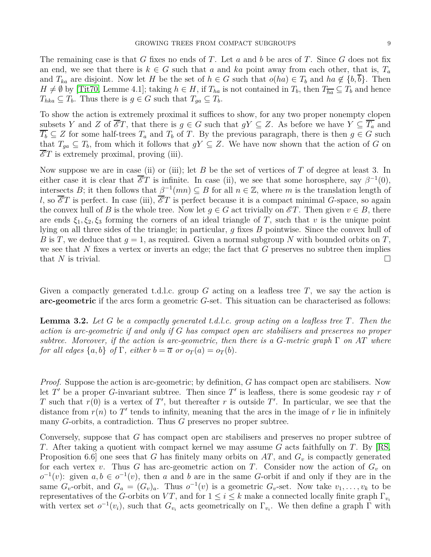The remaining case is that *G* fixes no ends of *T*. Let *a* and *b* be arcs of *T*. Since *G* does not fix an end, we see that there is  $k \in G$  such that *a* and *ka* point away from each other, that is,  $T_a$ and  $T_{ka}$  are disjoint. Now let *H* be the set of  $h \in G$  such that  $o(ha) \in T_b$  and  $ha \notin \{b, b\}$ . Then  $H \neq \emptyset$  by [\[Tit70,](#page-19-1) Lemme 4.1]; taking  $h \in H$ , if  $T_{ha}$  is not contained in  $T_b$ , then  $T_{ha} \subseteq T_b$  and hence  $T_{hka} \subseteq T_b$ . Thus there is  $g \in G$  such that  $T_{ga} \subseteq T_b$ .

To show the action is extremely proximal it suffices to show, for any two proper nonempty clopen subsets *Y* and *Z* of  $\overline{\mathscr{E}}T$ , that there is  $g \in G$  such that  $gY \subseteq Z$ . As before we have  $Y \subseteq \overline{T_a}$  and  $T_b \subseteq Z$  for some half-trees  $T_a$  and  $T_b$  of  $T$ . By the previous paragraph, there is then  $g \in G$  such that  $T_{ga} \subseteq T_b$ , from which it follows that  $gY \subseteq Z$ . We have now shown that the action of *G* on  $\overline{\mathscr{E}}T$  is extremely proximal, proving (iii).

Now suppose we are in case (ii) or (iii); let *B* be the set of vertices of *T* of degree at least 3. In either case it is clear that  $\overline{\mathscr{E}}T$  is infinite. In case (ii), we see that some horosphere, say  $\beta^{-1}(0)$ , intersects *B*; it then follows that  $\beta^{-1}(mn) \subseteq B$  for all  $n \in \mathbb{Z}$ , where *m* is the translation length of *l*, so  $\mathscr{E}T$  is perfect. In case (iii),  $\mathscr{E}T$  is perfect because it is a compact minimal *G*-space, so again the convex hull of *B* is the whole tree. Now let  $g \in G$  act trivially on  $\mathscr{E}T$ . Then given  $v \in B$ , there are ends  $\xi_1, \xi_2, \xi_3$  forming the corners of an ideal triangle of *T*, such that *v* is the unique point lying on all three sides of the triangle; in particular, *g* fixes *B* pointwise. Since the convex hull of *B* is *T*, we deduce that  $g = 1$ , as required. Given a normal subgroup *N* with bounded orbits on *T*, we see that *N* fixes a vertex or inverts an edge; the fact that *G* preserves no subtree then implies that *N* is trivial.

Given a compactly generated t.d.l.c. group *G* acting on a leafless tree *T*, we say the action is **arc-geometric** if the arcs form a geometric *G*-set. This situation can be characterised as follows:

<span id="page-8-0"></span>**Lemma 3.2.** *Let G be a compactly generated t.d.l.c. group acting on a leafless tree T. Then the action is arc-geometric if and only if G has compact open arc stabilisers and preserves no proper subtree. Moreover, if the action is arc-geometric, then there is a*  $G$ *-metric graph*  $\Gamma$  *on*  $AT$  *where for all edges*  $\{a, b\}$  *of*  $\Gamma$ *, either*  $b = \overline{a}$  *or*  $o_T(a) = o_T(b)$ *.* 

*Proof.* Suppose the action is arc-geometric; by definition, *G* has compact open arc stabilisers. Now let  $T'$  be a proper  $G$ -invariant subtree. Then since  $T'$  is leafless, there is some geodesic ray  $r$  of *T* such that  $r(0)$  is a vertex of *T*<sup>'</sup>, but thereafter *r* is outside *T*'. In particular, we see that the distance from  $r(n)$  to  $T'$  tends to infinity, meaning that the arcs in the image of  $r$  lie in infinitely many *G*-orbits, a contradiction. Thus *G* preserves no proper subtree.

Conversely, suppose that *G* has compact open arc stabilisers and preserves no proper subtree of *T*. After taking a quotient with compact kernel we may assume *G* acts faithfully on *T*. By [\[RS,](#page-19-7) Proposition 6.6] one sees that *G* has finitely many orbits on *AT*, and *G<sup>v</sup>* is compactly generated for each vertex *v*. Thus *G* has arc-geometric action on *T*. Consider now the action of  $G_v$  on  $\sigma^{-1}(v)$ : given  $a, b \in \sigma^{-1}(v)$ , then *a* and *b* are in the same *G*-orbit if and only if they are in the same  $G_v$ -orbit, and  $G_a = (G_v)_a$ . Thus  $o^{-1}(v)$  is a geometric  $G_v$ -set. Now take  $v_1, \ldots, v_k$  to be representatives of the *G*-orbits on  $VT$ , and for  $1 \leq i \leq k$  make a connected locally finite graph  $\Gamma_{v_i}$ with vertex set  $o^{-1}(v_i)$ , such that  $G_{v_i}$  acts geometrically on  $\Gamma_{v_i}$ . We then define a graph  $\Gamma$  with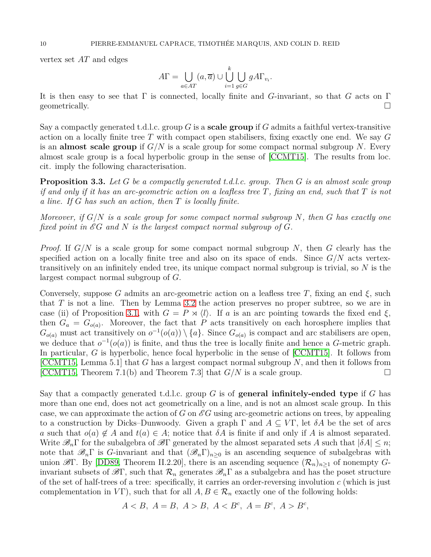vertex set *AT* and edges

$$
A\Gamma = \bigcup_{a \in AT} (a, \overline{a}) \cup \bigcup_{i=1}^{k} \bigcup_{g \in G} gA\Gamma_{v_i}.
$$

It is then easy to see that Γ is connected, locally finite and *G*-invariant, so that *G* acts on Γ geometrically.

Say a compactly generated t.d.l.c. group *G* is a **scale group** if *G* admits a faithful vertex-transitive action on a locally finite tree *T* with compact open stabilisers, fixing exactly one end. We say *G* is an **almost scale group** if *G/N* is a scale group for some compact normal subgroup *N*. Every almost scale group is a focal hyperbolic group in the sense of [\[CCMT15\]](#page-18-6). The results from loc. cit. imply the following characterisation.

<span id="page-9-0"></span>**Proposition 3.3.** *Let G be a compactly generated t.d.l.c. group. Then G is an almost scale group if and only if it has an arc-geometric action on a leafless tree T, fixing an end, such that T is not a line. If G has such an action, then T is locally finite.*

*Moreover, if G/N is a scale group for some compact normal subgroup N, then G has exactly one fixed point in*  $\mathscr{E}G$  *and*  $N$  *is the largest compact normal subgroup of*  $G$ *.* 

*Proof.* If *G/N* is a scale group for some compact normal subgroup *N*, then *G* clearly has the specified action on a locally finite tree and also on its space of ends. Since *G/N* acts vertextransitively on an infinitely ended tree, its unique compact normal subgroup is trivial, so *N* is the largest compact normal subgroup of *G*.

Conversely, suppose *G* admits an arc-geometric action on a leafless tree *T*, fixing an end  $\xi$ , such that *T* is not a line. Then by Lemma [3.2](#page-8-0) the action preserves no proper subtree, so we are in case (ii) of Proposition [3.1,](#page-7-1) with  $G = P \rtimes \langle l \rangle$ . If *a* is an arc pointing towards the fixed end  $\xi$ , then  $G_a = G_{o(a)}$ . Moreover, the fact that *P* acts transitively on each horosphere implies that  $G_{o(a)}$  must act transitively on  $o^{-1}(o(a)) \setminus \{a\}$ . Since  $G_{o(a)}$  is compact and arc stabilisers are open, we deduce that  $o^{-1}(o(a))$  is finite, and thus the tree is locally finite and hence a *G*-metric graph. In particular, *G* is hyperbolic, hence focal hyperbolic in the sense of [\[CCMT15\]](#page-18-6). It follows from [\[CCMT15,](#page-18-6) Lemma 5.1] that *G* has a largest compact normal subgroup *N*, and then it follows from [\[CCMT15,](#page-18-6) Theorem 7.1(b) and Theorem 7.3] that  $G/N$  is a scale group.

Say that a compactly generated t.d.l.c. group *G* is of **general infinitely-ended type** if *G* has more than one end, does not act geometrically on a line, and is not an almost scale group. In this case, we can approximate the action of *G* on  $\mathscr{E}G$  using arc-geometric actions on trees, by appealing to a construction by Dicks–Dunwoody. Given a graph  $\Gamma$  and  $A \subseteq V\Gamma$ , let  $\delta A$  be the set of arcs *a* such that  $o(a) \notin A$  and  $t(a) \in A$ ; notice that  $\delta A$  is finite if and only if A is almost separated. Write  $\mathscr{B}_n\Gamma$  for the subalgebra of  $\mathscr{B}\Gamma$  generated by the almost separated sets A such that  $|\delta A| \leq n$ ; note that  $\mathscr{B}_n\Gamma$  is *G*-invariant and that  $(\mathscr{B}_n\Gamma)_{n>0}$  is an ascending sequence of subalgebras with union  $\mathscr{B}\Gamma$ . By [\[DD89,](#page-18-10) Theorem II.2.20], there is an ascending sequence  $(\mathcal{R}_n)_{n\geq 1}$  of nonempty *G*invariant subsets of  $\mathscr{B}\Gamma$ , such that  $\mathcal{R}_n$  generates  $\mathscr{B}_n\Gamma$  as a subalgebra and has the poset structure of the set of half-trees of a tree: specifically, it carries an order-reversing involution *c* (which is just complementation in *V* $\Gamma$ ), such that for all  $A, B \in \mathcal{R}_n$  exactly one of the following holds:

$$
A < B, \ A = B, \ A > B, \ A < B^c, \ A = B^c, \ A > B^c
$$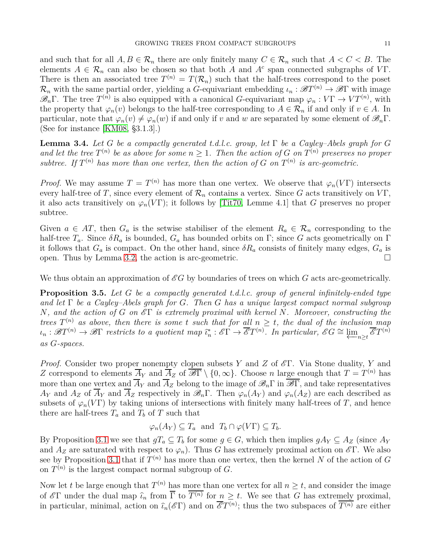and such that for all  $A, B \in \mathcal{R}_n$  there are only finitely many  $C \in \mathcal{R}_n$  such that  $A < C < B$ . The elements  $A \in \mathcal{R}_n$  can also be chosen so that both *A* and  $A^c$  span connected subgraphs of *VT*. There is then an associated tree  $T^{(n)} = T(\mathcal{R}_n)$  such that the half-trees correspond to the poset  $\mathcal{R}_n$  with the same partial order, yielding a *G*-equivariant embedding  $\iota_n : \mathscr{B}T^{(n)} \to \mathscr{B}\Gamma$  with image  $\mathscr{B}_n\Gamma$ . The tree  $T^{(n)}$  is also equipped with a canonical *G*-equivariant map  $\varphi_n: V\Gamma \to V T^{(n)}$ , with the property that  $\varphi_n(v)$  belongs to the half-tree corresponding to  $A \in \mathcal{R}_n$  if and only if  $v \in A$ . In particular, note that  $\varphi_n(v) \neq \varphi_n(w)$  if and only if *v* and *w* are separated by some element of  $\mathscr{B}_n\Gamma$ . (See for instance [\[KM08,](#page-19-8) §3.1.3].)

<span id="page-10-0"></span>**Lemma 3.4.** Let G be a compactly generated t.d.l.c. group, let  $\Gamma$  be a Cayley–Abels graph for G and let the tree  $T^{(n)}$  be as above for some  $n \geq 1$ . Then the action of G on  $T^{(n)}$  preserves no proper *subtree.* If  $T^{(n)}$  has more than one vertex, then the action of  $G$  on  $T^{(n)}$  is arc-geometric.

*Proof.* We may assume  $T = T^{(n)}$  has more than one vertex. We observe that  $\varphi_n(V\Gamma)$  intersects every half-tree of *T*, since every element of  $\mathcal{R}_n$  contains a vertex. Since *G* acts transitively on *VT*, it also acts transitively on  $\varphi_n(V\Gamma)$ ; it follows by [\[Tit70,](#page-19-1) Lemme 4.1] that *G* preserves no proper subtree.

Given  $a \in AT$ , then  $G_a$  is the setwise stabiliser of the element  $R_a \in \mathcal{R}_n$  corresponding to the half-tree  $T_a$ . Since  $\delta R_a$  is bounded,  $G_a$  has bounded orbits on  $\Gamma$ ; since *G* acts geometrically on  $\Gamma$ it follows that  $G_a$  is compact. On the other hand, since  $\delta R_a$  consists of finitely many edges,  $G_a$  is open. Thus by Lemma [3.2,](#page-8-0) the action is arc-geometric.

We thus obtain an approximation of  $\mathscr{E}G$  by boundaries of trees on which G acts arc-geometrically.

<span id="page-10-1"></span>**Proposition 3.5.** *Let G be a compactly generated t.d.l.c. group of general infinitely-ended type and let* Γ *be a Cayley–Abels graph for G. Then G has a unique largest compact normal subgroup N, and the action of G on* E Γ *is extremely proximal with kernel N. Moreover, constructing the trees*  $T^{(n)}$  *as above, then there is some t such that for all*  $n \geq t$ *, the dual of the inclusion map*  $\iota_n : \mathscr{B}T^{(n)} \to \mathscr{B}\Gamma$  restricts to a quotient map  $\widehat{\iota}_n^* : \mathscr{E}\Gamma \to \overline{\mathscr{E}}T^{(n)}$ . In particular,  $\mathscr{E}G \cong \varprojlim_{n \geq t} \overline{\mathscr{E}}T^{(n)}$ *as G-spaces.*

*Proof.* Consider two proper nonempty clopen subsets *Y* and *Z* of  $E$ Γ. Via Stone duality, *Y* and *Z* correspond to elements  $\overline{A}_Y$  and  $\overline{A}_Z$  of  $\overline{\mathscr{B}\Gamma} \setminus \{0,\infty\}$ . Choose *n* large enough that  $T = T^{(n)}$  has more than one vertex and  $\overline{A}_Y$  and  $\overline{A}_Z$  belong to the image of  $\mathscr{B}_n\Gamma$  in  $\overline{\mathscr{B}\Gamma}$ , and take representatives *A*<sub>*Y*</sub> and *A*<sub>*Z*</sub> of  $\overline{A}_Y$  and  $\overline{A}_Z$  respectively in  $\mathscr{B}_n\Gamma$ . Then  $\varphi_n(A_Y)$  and  $\varphi_n(A_Z)$  are each described as subsets of  $\varphi_n(V\Gamma)$  by taking unions of intersections with finitely many half-trees of *T*, and hence there are half-trees  $T_a$  and  $T_b$  of  $T$  such that

$$
\varphi_n(A_Y) \subseteq T_a
$$
 and  $T_b \cap \varphi(V\Gamma) \subseteq T_b$ .

By Proposition [3.1](#page-7-1) we see that  $gT_a \subseteq T_b$  for some  $g \in G$ , which then implies  $gA_Y \subseteq A_Z$  (since  $A_Y$ and  $A_Z$  are saturated with respect to  $\varphi_n$ ). Thus *G* has extremely proximal action on  $\mathscr{E}\Gamma$ . We also see by Proposition [3.1](#page-7-1) that if  $T^{(n)}$  has more than one vertex, then the kernel N of the action of  $G$ on  $T^{(n)}$  is the largest compact normal subgroup of  $G$ .

Now let *t* be large enough that  $T^{(n)}$  has more than one vertex for all  $n \geq t$ , and consider the image of  $\mathscr{E}\Gamma$  under the dual map  $\widehat{\iota}_n$  from  $\overline{\Gamma}$  to  $\overline{T^{(n)}}$  for  $n \geq t$ . We see that *G* has extremely proximal, in particular, minimal, action on  $\widehat{L}_n(\mathscr{E}\Gamma)$  and on  $\overline{\mathscr{E}}T^{(n)}$ ; thus the two subspaces of  $\overline{T^{(n)}}$  are either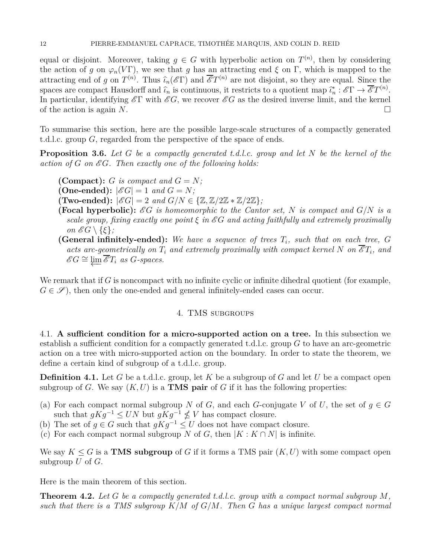equal or disjoint. Moreover, taking  $g \in G$  with hyperbolic action on  $T^{(n)}$ , then by considering the action of *g* on  $\varphi_n(V\Gamma)$ , we see that *g* has an attracting end  $\xi$  on  $\Gamma$ , which is mapped to the attracting end of *g* on  $T^{(n)}$ . Thus  $\widehat{\iota}_n(\mathscr{E}\Gamma)$  and  $\overline{\mathscr{E}}T^{(n)}$  are not disjoint, so they are equal. Since the spaces are compact Hausdorff and  $\hat{\iota}_n$  is continuous, it restricts to a quotient map  $\hat{\iota}_n^* : \mathscr{E}\Gamma \to \overline{\mathscr{E}}T^{(n)}$ . In particular, identifying  $\mathscr{E}\Gamma$  with  $\mathscr{E}G$ , we recover  $\mathscr{E}G$  as the desired inverse limit, and the kernel of the action is again *N*.

To summarise this section, here are the possible large-scale structures of a compactly generated t.d.l.c. group *G*, regarded from the perspective of the space of ends.

**Proposition 3.6.** *Let G be a compactly generated t.d.l.c. group and let N be the kernel of the action of G on* E *G. Then exactly one of the following holds:*

- **(Compact):**  $G$  *is compact and*  $G = N$ *;*
- **(One-ended):**  $|\mathscr{E}G| = 1$  *and*  $G = N$ ;
- $(\text{Two-ended}): |\mathscr{E}G| = 2 \text{ and } G/N \in \{\mathbb{Z}, \mathbb{Z}/2\mathbb{Z} * \mathbb{Z}/2\mathbb{Z}\};$
- **(Focal hyperbolic):** EG is homeomorphic to the Cantor set, N is compact and  $G/N$  is a *scale group, fixing exactly one point*  $\xi$  *in*  $\mathscr{E}G$  *and acting faithfully and extremely proximally on*  $\mathscr{E}G \setminus \{\xi\};$
- **(General infinitely-ended):** *We have a sequence of trees T<sup>i</sup> , such that on each tree, G acts arc-geometrically on*  $T_i$  *and extremely proximally with compact kernel*  $N$  *on*  $\overline{\mathscr{E}}T_i$ *, and*  $\mathscr{E}G \cong \varprojlim \overline{\mathscr{E}}T_i$  as  $G$ *-spaces.*

<span id="page-11-2"></span>We remark that if *G* is noncompact with no infinite cyclic or infinite dihedral quotient (for example,  $G \in \mathscr{S}$ , then only the one-ended and general infinitely-ended cases can occur.

# 4. TMS subgroups

<span id="page-11-0"></span>4.1. **A sufficient condition for a micro-supported action on a tree.** In this subsection we establish a sufficient condition for a compactly generated t.d.l.c. group *G* to have an arc-geometric action on a tree with micro-supported action on the boundary. In order to state the theorem, we define a certain kind of subgroup of a t.d.l.c. group.

**Definition 4.1.** Let *G* be a t.d.l.c. group, let *K* be a subgroup of *G* and let *U* be a compact open subgroup of *G*. We say  $(K, U)$  is a **TMS** pair of *G* if it has the following properties:

- (a) For each compact normal subgroup *N* of *G*, and each *G*-conjugate *V* of *U*, the set of  $g \in G$ such that  $gKg^{-1} \leq UN$  but  $gKg^{-1} \nleq V$  has compact closure.
- (b) The set of  $g \in G$  such that  $gKg^{-1} \leq U$  does not have compact closure.
- (c) For each compact normal subgroup *N* of *G*, then  $|K: K \cap N|$  is infinite.

We say  $K \leq G$  is a **TMS subgroup** of G if it forms a TMS pair  $(K, U)$  with some compact open subgroup *U* of *G*.

Here is the main theorem of this section.

<span id="page-11-1"></span>**Theorem 4.2.** *Let G be a compactly generated t.d.l.c. group with a compact normal subgroup M, such that there is a TMS subgroup K/M of G/M. Then G has a unique largest compact normal*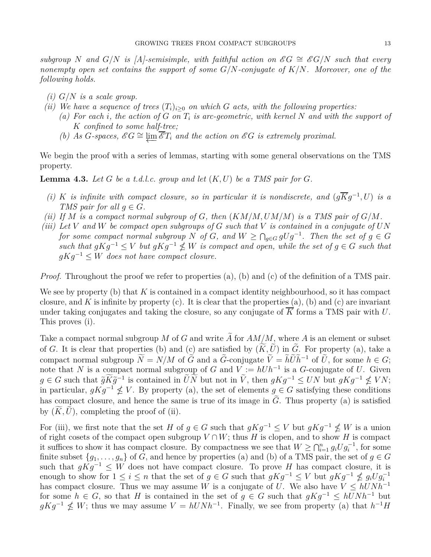*subgroup N* and  $G/N$  *is [A]-semisimple, with faithful action on*  $\mathscr{E}G \cong \mathscr{E}G/N$  *such that every nonempty open set contains the support of some G/N-conjugate of K/N. Moreover, one of the following holds.*

- *(i) G/N is a scale group.*
- *(ii)* We have a sequence of trees  $(T_i)_{i>0}$  on which *G* acts, with the following properties:
	- *(a) For each i, the action of G on T<sup>i</sup> is arc-geometric, with kernel N and with the support of K confined to some half-tree;*
	- *(b)* As *G*-spaces,  $\mathscr{E}G \cong \varprojlim \overline{\mathscr{E}}T_i$  and the action on  $\mathscr{E}G$  is extremely proximal.

We begin the proof with a series of lemmas, starting with some general observations on the TMS property.

<span id="page-12-0"></span>**Lemma 4.3.** Let G be a t.d.l.c. group and let  $(K, U)$  be a TMS pair for G.

- *(i) K is infinite with compact closure, so in particular it is nondiscrete, and*  $(g\overline{K}g^{-1}, U)$  *is a TMS pair for all*  $q \in G$ *.*
- *(ii)* If M is a compact normal subgroup of G, then  $(KM/M, UM/M)$  *is a TMS pair of*  $G/M$ *.*
- *(iii) Let V and W be compact open subgroups of G such that V is contained in a conjugate of UN for some compact normal subgroup*  $N$  *of*  $G$ *, and*  $W \ge \bigcap_{g \in G} gUg^{-1}$ *. Then the set of*  $g \in G$  $such that gKg^{-1} \leq V$  *but*  $gKg^{-1} \nleq W$  *is compact and open, while the set of*  $g \in G$  *such that gKg*<sup>−</sup><sup>1</sup> ≤ *W does not have compact closure.*

*Proof.* Throughout the proof we refer to properties (a), (b) and (c) of the definition of a TMS pair.

We see by property (b) that *K* is contained in a compact identity neighbourhood, so it has compact closure, and  $K$  is infinite by property (c). It is clear that the properties (a), (b) and (c) are invariant under taking conjugates and taking the closure, so any conjugate of *K* forms a TMS pair with *U*. This proves (i).

Take a compact normal subgroup M of G and write A for  $AM/M$ , where A is an element or subset of *G*. It is clear that properties (b) and (c) are satisfied by  $(\widetilde{K}, \widetilde{U})$  in  $\widetilde{G}$ . For property (a), take a compact normal subgroup  $\tilde{N} = N/M$  of  $\tilde{G}$  and a  $\tilde{G}$ -conjugate  $\tilde{V} = \tilde{h} \tilde{U} \tilde{h}^{-1}$  of  $\tilde{U}$ , for some  $h \in G$ ; note that *N* is a compact normal subgroup of *G* and  $V := hUh^{-1}$  is a *G*-conjugate of *U*. Given  $g \in G$  such that  $\tilde{g}K\tilde{g}^{-1}$  is contained in  $\tilde{U}N$  but not in  $\tilde{V}$ , then  $gKg^{-1} \leq UN$  but  $gKg^{-1} \nleq VN$ ; in particular,  $gKg^{-1} \nleq V$ . By property (a), the set of elements  $g \in G$  satisfying these conditions has compact closure, and hence the same is true of its image in  $\tilde{G}$ . Thus property (a) is satisfied by  $(K, U)$ , completing the proof of (ii).

For (iii), we first note that the set *H* of  $g \in G$  such that  $gKg^{-1} \leq V$  but  $gKg^{-1} \nleq W$  is a union of right cosets of the compact open subgroup  $V \cap W$ ; thus *H* is clopen, and to show *H* is compact it suffices to show it has compact closure. By compactness we see that  $W \geq \bigcap_{i=1}^n g_i U g_i^{-1}$ , for some finite subset  $\{g_1, \ldots, g_n\}$  of *G*, and hence by properties (a) and (b) of a TMS pair, the set of  $g \in G$ such that  $gKg^{-1} \leq W$  does not have compact closure. To prove *H* has compact closure, it is enough to show for  $1 \leq i \leq n$  that the set of  $g \in G$  such that  $gKg^{-1} \leq V$  but  $gKg^{-1} \nleq g_iUg_i^{-1}$ has compact closure. Thus we may assume *W* is a conjugate of *U*. We also have  $V \le hUNh^{-1}$ for some  $h \in G$ , so that *H* is contained in the set of  $g \in G$  such that  $gKg^{-1} \le hUNh^{-1}$  but  $gKg^{-1}$   $\nleq W$ ; thus we may assume  $V = hUNh^{-1}$ . Finally, we see from property (a) that  $h^{-1}H$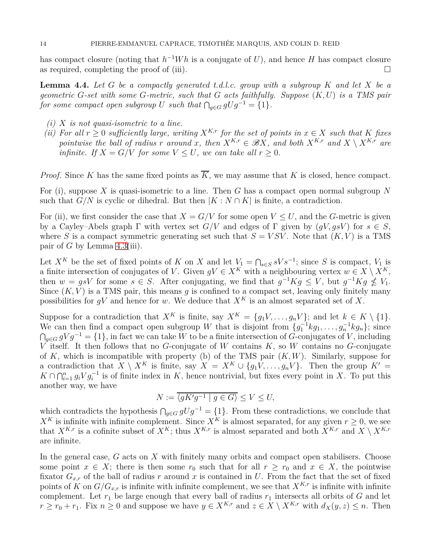has compact closure (noting that  $h^{-1}Wh$  is a conjugate of *U*), and hence *H* has compact closure as required, completing the proof of (iii).  $\Box$ 

<span id="page-13-0"></span>**Lemma 4.4.** *Let G be a compactly generated t.d.l.c. group with a subgroup K and let X be a geometric G-set with some G-metric, such that G acts faithfully. Suppose* (*K, U*) *is a TMS pair for some compact open subgroup U such that*  $\bigcap_{g \in G} gUg^{-1} = \{1\}$ *.* 

- *(i) X is not quasi-isometric to a line.*
- *(ii)* For all  $r > 0$  sufficiently large, writing  $X^{K,r}$  for the set of points in  $x \in X$  such that K fixes *pointwise the ball of radius r around x, then*  $X^{K,r} \in \mathcal{B}X$ *, and both*  $X^{K,r}$  *and*  $X \setminus X^{K,r}$  *are infinite. If*  $X = G/V$  *for some*  $V \leq U$ *, we can take all*  $r \geq 0$ *.*

*Proof.* Since *K* has the same fixed points as  $\overline{K}$ , we may assume that *K* is closed, hence compact.

For (i), suppose *X* is quasi-isometric to a line. Then *G* has a compact open normal subgroup *N* such that  $G/N$  is cyclic or dihedral. But then  $|K : N \cap K|$  is finite, a contradiction.

For (ii), we first consider the case that  $X = G/V$  for some open  $V \leq U$ , and the *G*-metric is given by a Cayley–Abels graph Γ with vertex set *G/V* and edges of Γ given by (*gV, gsV* ) for *s* ∈ *S*, where *S* is a compact symmetric generating set such that  $S = VSV$ . Note that  $(K, V)$  is a TMS pair of  $G$  by Lemma [4.3\(](#page-12-0)iii).

Let  $X^K$  be the set of fixed points of *K* on *X* and let  $V_1 = \bigcap_{s \in S} sV s^{-1}$ ; since *S* is compact,  $V_1$  is a finite intersection of conjugates of *V*. Given  $gV \in X^K$  with a neighbouring vertex  $w \in X \setminus X^K$ , then  $w = gsV$  for some  $s \in S$ . After conjugating, we find that  $g^{-1}Kg \leq V$ , but  $g^{-1}Kg \nleq V_1$ . Since  $(K, V)$  is a TMS pair, this means  $q$  is confined to a compact set, leaving only finitely many possibilities for  $gV$  and hence for *w*. We deduce that  $X^K$  is an almost separated set of X.

Suppose for a contradiction that  $X^K$  is finite, say  $X^K = \{g_1V, \ldots, g_nV\}$ ; and let  $k \in K \setminus \{1\}$ . We can then find a compact open subgroup *W* that is disjoint from  ${g_1^{-1}kg_1, \ldots, g_n^{-1}kg_n};$  since  $\bigcap_{g \in G} gVg^{-1} = \{1\}$ , in fact we can take *W* to be a finite intersection of *G*-conjugates of *V*, including *V* itself. It then follows that no *G*-conjugate of *W* contains *K*, so *W* contains no *G*-conjugate of *K*, which is incompatible with property (b) of the TMS pair (*K, W*). Similarly, suppose for a contradiction that  $X \setminus X^K$  is finite, say  $X = X^K \cup \{g_1V, \ldots, g_nV\}$ . Then the group  $K' =$  $K \cap \bigcap_{i=1}^n g_i V g_i^{-1}$  is of finite index in *K*, hence nontrivial, but fixes every point in *X*. To put this another way, we have

$$
N := \overline{\langle gK'g^{-1} \mid g \in G \rangle} \le V \le U,
$$

which contradicts the hypothesis  $\bigcap_{g \in G} gUg^{-1} = \{1\}$ . From these contradictions, we conclude that  $X^K$  is infinite with infinite complement. Since  $X^K$  is almost separated, for any given  $r \geq 0$ , we see that  $X^{K,r}$  is a cofinite subset of  $X^K$ ; thus  $X^{K,r}$  is almost separated and both  $\overline{X}^{K,r}$  and  $\overline{X} \setminus X^{K,r}$ are infinite.

In the general case, *G* acts on *X* with finitely many orbits and compact open stabilisers. Choose some point  $x \in X$ ; there is then some  $r_0$  such that for all  $r \geq r_0$  and  $x \in X$ , the pointwise fixator  $G_{x,r}$  of the ball of radius r around x is contained in U. From the fact that the set of fixed points of *K* on  $G/G_{x,r}$  is infinite with infinite complement, we see that  $X^{K,r}$  is infinite with infinite complement. Let  $r_1$  be large enough that every ball of radius  $r_1$  intersects all orbits of *G* and let *r* ≥ *r*<sub>0</sub> + *r*<sub>1</sub>. Fix *n* ≥ 0 and suppose we have  $y \in X^{K,r}$  and  $z \in X \setminus X^{K,r}$  with  $d_X(y, z) \leq n$ . Then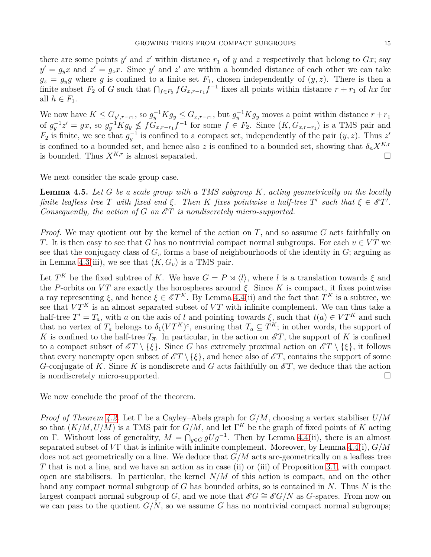there are some points  $y'$  and  $z'$  within distance  $r_1$  of  $y$  and  $z$  respectively that belong to  $Gx$ ; say  $y' = g_y x$  and  $z' = g_z x$ . Since y' and z' are within a bounded distance of each other we can take  $g_z = g_y g$  where *g* is confined to a finite set  $F_1$ , chosen independently of  $(y, z)$ . There is then a finite subset  $F_2$  of *G* such that  $\bigcap_{f \in F_2} fG_{x,r-r_1}f^{-1}$  fixes all points within distance  $r + r_1$  of  $hx$  for all  $h \in F_1$ .

We now have  $K \leq G_{y',r-r_1}$ , so  $g_y^{-1}Kg_y \leq G_{x,r-r_1}$ , but  $g_y^{-1}Kg_y$  moves a point within distance  $r+r_1$ of  $g_y^{-1}z' = gx$ , so  $g_y^{-1}Kg_y \nleq fG_{x,r-r_1}f^{-1}$  for some  $f \in F_2$ . Since  $(K, G_{x,r-r_1})$  is a TMS pair and  $F_2$  is finite, we see that  $g_y^{-1}$  is confined to a compact set, independently of the pair  $(y, z)$ . Thus *z'* is confined to a bounded set, and hence also *z* is confined to a bounded set, showing that  $\delta_n X^{K,r}$ is bounded. Thus  $X^{K,r}$  is almost separated.

We next consider the scale group case.

<span id="page-14-0"></span>**Lemma 4.5.** *Let G be a scale group with a TMS subgroup K, acting geometrically on the locally finite leafless tree T* with fixed end  $\xi$ . Then *K* fixes pointwise a half-tree *T*' such that  $\xi \in \mathscr{E}T'$ . *Consequently, the action of G on*  $\mathscr{E}T$  *is nondiscretely micro-supported.* 

*Proof.* We may quotient out by the kernel of the action on *T*, and so assume *G* acts faithfully on *T*. It is then easy to see that *G* has no nontrivial compact normal subgroups. For each  $v \in VT$  we see that the conjugacy class of  $G<sub>v</sub>$  forms a base of neighbourhoods of the identity in  $G<sub>i</sub>$ ; arguing as in Lemma [4.3\(](#page-12-0)iii), we see that  $(K, G_v)$  is a TMS pair.

Let  $T^K$  be the fixed subtree of *K*. We have  $G = P \rtimes \langle l \rangle$ , where *l* is a translation towards  $\xi$  and the *P*-orbits on  $VT$  are exactly the horospheres around  $\xi$ . Since K is compact, it fixes pointwise a ray representing  $\xi$ , and hence  $\xi \in \mathscr{E}T^K$ . By Lemma [4.4\(](#page-13-0)ii) and the fact that  $T^K$  is a subtree, we see that  $VT^K$  is an almost separated subset of  $VT$  with infinite complement. We can thus take a half-tree  $T' = T_a$ , with *a* on the axis of *l* and pointing towards  $\xi$ , such that  $t(a) \in VT^K$  and such that no vertex of  $T_a$  belongs to  $\delta_1(VT^K)^c$ , ensuring that  $T_a \subseteq T^K$ ; in other words, the support of *K* is confined to the half-tree  $T_{\overline{a}}$ . In particular, in the action on  $\mathscr{E}T$ , the support of *K* is confined to a compact subset of  $\mathscr{E}T \setminus {\xi}$ . Since *G* has extremely proximal action on  $\mathscr{E}T \setminus {\xi}$ , it follows that every nonempty open subset of  $\mathscr{E}T \setminus \{\xi\}$ , and hence also of  $\mathscr{E}T$ , contains the support of some *G*-conjugate of *K*. Since *K* is nondiscrete and *G* acts faithfully on  $\mathscr{E}T$ , we deduce that the action is nondiscretely micro-supported.

We now conclude the proof of the theorem.

*Proof of Theorem [4.2.](#page-11-1)* Let Γ be a Cayley–Abels graph for *G/M*, choosing a vertex stabiliser *U/M* so that (*K/M, U/M*) is a TMS pair for *G/M*, and let Γ*<sup>K</sup>* be the graph of fixed points of *K* acting on Γ. Without loss of generality,  $M = \bigcap_{g \in G} gUg^{-1}$ . Then by Lemma [4.4\(](#page-13-0)ii), there is an almost separated subset of  $V\Gamma$  that is infinite with infinite complement. Moreover, by Lemma [4.4\(](#page-13-0)i),  $G/M$ does not act geometrically on a line. We deduce that *G/M* acts arc-geometrically on a leafless tree *T* that is not a line, and we have an action as in case (ii) or (iii) of Proposition [3.1,](#page-7-1) with compact open arc stabilisers. In particular, the kernel *N/M* of this action is compact, and on the other hand any compact normal subgroup of *G* has bounded orbits, so is contained in *N*. Thus *N* is the largest compact normal subgroup of *G*, and we note that  $\mathscr{E}G \cong \mathscr{E}G/N$  as *G*-spaces. From now on we can pass to the quotient  $G/N$ , so we assume *G* has no nontrivial compact normal subgroups;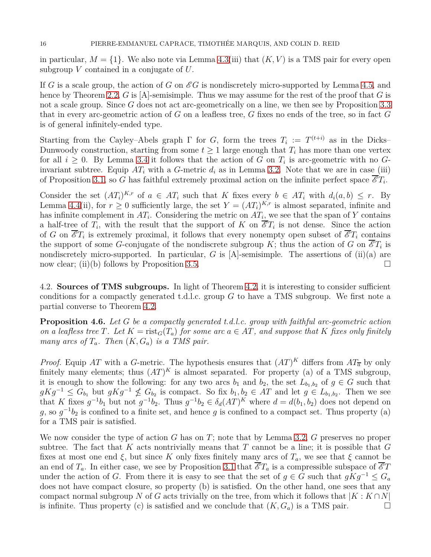in particular,  $M = \{1\}$ . We also note via Lemma [4.3\(](#page-12-0)iii) that  $(K, V)$  is a TMS pair for every open subgroup *V* contained in a conjugate of *U*.

If *G* is a scale group, the action of *G* on  $\mathscr{E}G$  is nondiscretely micro-supported by Lemma [4.5,](#page-14-0) and hence by Theorem [2.2,](#page-4-1) *G* is [A]-semisimple. Thus we may assume for the rest of the proof that *G* is not a scale group. Since *G* does not act arc-geometrically on a line, we then see by Proposition [3.3](#page-9-0) that in every arc-geometric action of *G* on a leafless tree, *G* fixes no ends of the tree, so in fact *G* is of general infinitely-ended type.

Starting from the Cayley–Abels graph  $\Gamma$  for *G*, form the trees  $T_i := T^{(t+i)}$  as in the Dicks– Dunwoody construction, starting from some  $t \geq 1$  large enough that  $T_i$  has more than one vertex for all  $i \geq 0$ . By Lemma [3.4](#page-10-0) it follows that the action of *G* on  $T_i$  is arc-geometric with no *G*invariant subtree. Equip  $AT_i$  with a *G*-metric  $d_i$  as in Lemma [3.2.](#page-8-0) Note that we are in case (iii) of Proposition [3.1,](#page-7-1) so *G* has faithful extremely proximal action on the infinite perfect space  $\overline{\mathscr{E}}T_i$ .

Consider the set  $(AT_i)^{K,r}$  of  $a \in AT_i$  such that *K* fixes every  $b \in AT_i$  with  $d_i(a, b) \leq r$ . By Lemma [4.4\(](#page-13-0)ii), for  $r \geq 0$  sufficiently large, the set  $Y = (AT_i)^{K,r}$  is almost separated, infinite and has infinite complement in  $AT_i$ . Considering the metric on  $AT_i$ , we see that the span of *Y* contains a half-tree of  $T_i$ , with the result that the support of K on  $\overline{\mathscr{E}}T_i$  is not dense. Since the action of *G* on  $\overline{\mathscr{E}}T_i$  is extremely proximal, it follows that every nonempty open subset of  $\overline{\mathscr{E}}T_i$  contains the support of some *G*-conjugate of the nondiscrete subgroup *K*; thus the action of *G* on  $\overline{\mathscr{E}}T_i$  is nondiscretely micro-supported. In particular,  $G$  is  $[A]$ -semisimple. The assertions of  $(ii)(a)$  are now clear; (ii)(b) follows by Proposition [3.5.](#page-10-1)

4.2. **Sources of TMS subgroups.** In light of Theorem [4.2,](#page-11-1) it is interesting to consider sufficient conditions for a compactly generated t.d.l.c. group *G* to have a TMS subgroup. We first note a partial converse to Theorem [4.2.](#page-11-1)

<span id="page-15-0"></span>**Proposition 4.6.** *Let G be a compactly generated t.d.l.c. group with faithful arc-geometric action on a leafless tree T. Let*  $K = \text{rist}_G(T_a)$  *for some arc*  $a \in AT$ *, and suppose that*  $K$  *fixes only finitely many arcs of*  $T_a$ *. Then*  $(K, G_a)$  *is a TMS pair.* 

*Proof.* Equip AT with a *G*-metric. The hypothesis ensures that  $(AT)^K$  differs from  $AT_{\overline{a}}$  by only finitely many elements; thus  $(AT)^K$  is almost separated. For property (a) of a TMS subgroup, it is enough to show the following: for any two arcs  $b_1$  and  $b_2$ , the set  $L_{b_1,b_2}$  of  $g \in G$  such that *gKg*<sup>−1</sup> ≤  $G_{b_1}$  but  $gKg^{-1}$  ≰  $G_{b_2}$  is compact. So fix  $b_1, b_2 \in AT$  and let  $g \in L_{b_1,b_2}$ . Then we see that *K* fixes  $g^{-1}b_1$  but not  $g^{-1}b_2$ . Thus  $g^{-1}b_2 \in \delta_d (AT)^K$  where  $d = d(b_1, b_2)$  does not depend on  $g$ , so  $g^{-1}b_2$  is confined to a finite set, and hence *g* is confined to a compact set. Thus property (a) for a TMS pair is satisfied.

We now consider the type of action *G* has on *T*; note that by Lemma [3.2,](#page-8-0) *G* preserves no proper subtree. The fact that  $K$  acts nontrivially means that  $T$  cannot be a line; it is possible that  $G$ fixes at most one end  $\xi$ , but since K only fixes finitely many arcs of  $T_a$ , we see that  $\xi$  cannot be an end of  $T_a$ . In either case, we see by Proposition [3.1](#page-7-1) that  $\overline{\mathscr{E}}T_a$  is a compressible subspace of  $\overline{\mathscr{E}}T$ under the action of *G*. From there it is easy to see that the set of  $g \in G$  such that  $gKg^{-1} \leq G_a$ does not have compact closure, so property (b) is satisfied. On the other hand, one sees that any compact normal subgroup *N* of *G* acts trivially on the tree, from which it follows that  $|K:K \cap N|$ is infinite. Thus property (c) is satisfied and we conclude that  $(K, G_a)$  is a TMS pair.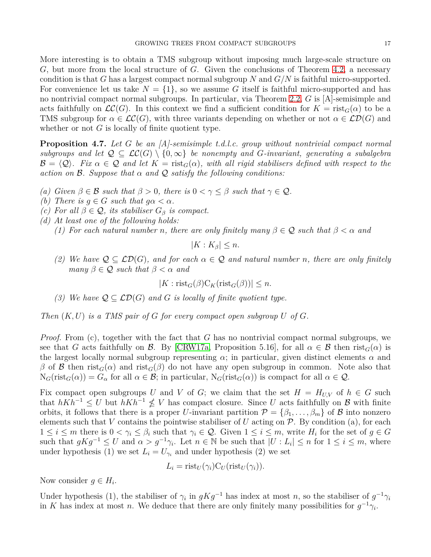More interesting is to obtain a TMS subgroup without imposing much large-scale structure on *G*, but more from the local structure of *G*. Given the conclusions of Theorem [4.2,](#page-11-1) a necessary condition is that *G* has a largest compact normal subgroup *N* and *G/N* is faithful micro-supported. For convenience let us take  $N = \{1\}$ , so we assume G itself is faithful micro-supported and has no nontrivial compact normal subgroups. In particular, via Theorem [2.2,](#page-4-1) *G* is [A]-semisimple and acts faithfully on  $\mathcal{LC}(G)$ . In this context we find a sufficient condition for  $K = \text{rist}_G(\alpha)$  to be a TMS subgroup for  $\alpha \in \mathcal{LC}(G)$ , with three variants depending on whether or not  $\alpha \in \mathcal{LD}(G)$  and whether or not *G* is locally of finite quotient type.

<span id="page-16-0"></span>**Proposition 4.7.** *Let G be an [A]-semisimple t.d.l.c. group without nontrivial compact normal subgroups and let*  $Q \subseteq \mathcal{LC}(G) \setminus \{0,\infty\}$  *be nonempty and G-invariant, generating a subalgebra*  $\mathcal{B} = \langle \mathcal{Q} \rangle$ *. Fix*  $\alpha \in \mathcal{Q}$  and let  $K = \text{rist}_G(\alpha)$ , with all rigid stabilisers defined with respect to the *action on* B*. Suppose that α and* Q *satisfy the following conditions:*

- *(a) Given*  $\beta \in \mathcal{B}$  *such that*  $\beta > 0$ *, there is*  $0 < \gamma \leq \beta$  *such that*  $\gamma \in \mathcal{Q}$ *.*
- *(b)* There is  $q \in G$  *such that*  $q\alpha < \alpha$ *.*
- *(c)* For all  $\beta \in \mathcal{Q}$ , its stabiliser  $G_{\beta}$  is compact.
- *(d) At least one of the following holds:*
	- *(1) For each natural number n, there are only finitely many*  $\beta \in \mathcal{Q}$  *such that*  $\beta < \alpha$  *and*

$$
|K:K_{\beta}|\leq n.
$$

*(2) We have* Q ⊆ LD(*G*)*, and for each α* ∈ Q *and natural number n, there are only finitely many*  $\beta \in \mathcal{Q}$  *such that*  $\beta < \alpha$  *and* 

$$
|K: \mathrm{rist}_G(\beta) \mathrm{C}_K(\mathrm{rist}_G(\beta))| \leq n.
$$

*(3)* We have  $Q \subseteq \mathcal{LD}(G)$  and G is locally of finite quotient type.

*Then* (*K, U*) *is a TMS pair of G for every compact open subgroup U of G.*

*Proof.* From (c), together with the fact that *G* has no nontrivial compact normal subgroups, we see that *G* acts faithfully on *B*. By [\[CRW17a,](#page-18-1) Proposition 5.16], for all  $\alpha \in B$  then rist<sub>*G*</sub>( $\alpha$ ) is the largest locally normal subgroup representing  $\alpha$ ; in particular, given distinct elements  $\alpha$  and  $β$  of *β* then rist<sub>*G*</sub>( $α$ ) and rist<sub>*G*</sub>( $β$ ) do not have any open subgroup in common. Note also that  $N_G(rist_G(\alpha)) = G_\alpha$  for all  $\alpha \in \mathcal{B}$ ; in particular,  $N_G(rist_G(\alpha))$  is compact for all  $\alpha \in \mathcal{Q}$ .

Fix compact open subgroups *U* and *V* of *G*; we claim that the set  $H = H_{U,V}$  of  $h \in G$  such that  $hKh^{-1} \leq U$  but  $hKh^{-1} \nleq V$  has compact closure. Since *U* acts faithfully on *B* with finite orbits, it follows that there is a proper *U*-invariant partition  $\mathcal{P} = {\beta_1, \ldots, \beta_m}$  of B into nonzero elements such that *V* contains the pointwise stabiliser of *U* acting on  $\mathcal{P}$ . By condition (a), for each  $1 \leq i \leq m$  there is  $0 < \gamma_i \leq \beta_i$  such that  $\gamma_i \in \mathcal{Q}$ . Given  $1 \leq i \leq m$ , write  $H_i$  for the set of  $g \in G$ such that  $gKg^{-1} \leq U$  and  $\alpha > g^{-1}\gamma_i$ . Let  $n \in \mathbb{N}$  be such that  $|U: L_i| \leq n$  for  $1 \leq i \leq m$ , where under hypothesis (1) we set  $L_i = U_{\gamma_i}$  and under hypothesis (2) we set

$$
L_i = \text{rist}_U(\gamma_i) C_U(\text{rist}_U(\gamma_i)).
$$

Now consider  $g \in H_i$ .

Under hypothesis (1), the stabiliser of  $\gamma_i$  in  $gKg^{-1}$  has index at most *n*, so the stabiliser of  $g^{-1}\gamma_i$ in *K* has index at most *n*. We deduce that there are only finitely many possibilities for  $g^{-1}\gamma_i$ .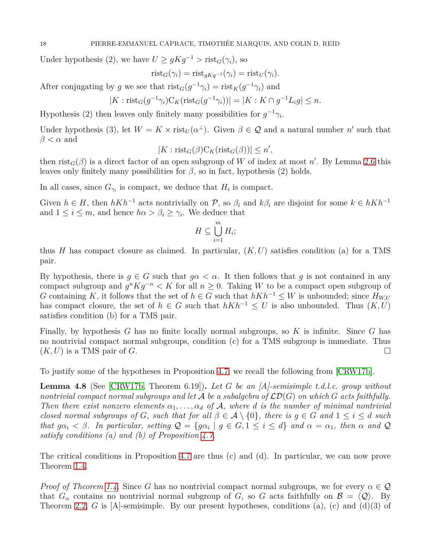Under hypothesis (2), we have  $U \geq gKg^{-1} > \text{rist}_G(\gamma_i)$ , so

$$
rist_G(\gamma_i) = rist_{gKg^{-1}}(\gamma_i) = rist_U(\gamma_i).
$$

After conjugating by *g* we see that  $\text{rist}_G(g^{-1}\gamma_i) = \text{rist}_K(g^{-1}\gamma_i)$  and

$$
|K: \mathrm{rist}_G(g^{-1}\gamma_i)C_K(\mathrm{rist}_G(g^{-1}\gamma_i))| = |K:K \cap g^{-1}L_i g| \le n.
$$

Hypothesis (2) then leaves only finitely many possibilities for  $g^{-1}\gamma_i$ .

Under hypothesis (3), let  $W = K \times \text{rist}_{U}(\alpha^{\perp})$ . Given  $\beta \in \mathcal{Q}$  and a natural number  $n'$  such that  $\beta < \alpha$  and

$$
|K: \mathrm{rist}_G(\beta) \mathrm{C}_K(\mathrm{rist}_G(\beta))| \le n',
$$

then  $\text{rist}_G(\beta)$  is a direct factor of an open subgroup of *W* of index at most *n'*. By Lemma [2.6](#page-6-0) this leaves only finitely many possibilities for  $\beta$ , so in fact, hypothesis (2) holds.

In all cases, since  $G_{\gamma_i}$  is compact, we deduce that  $H_i$  is compact.

Given  $h \in H$ , then  $hKh^{-1}$  acts nontrivially on  $\mathcal{P}$ , so  $\beta_i$  and  $k\beta_i$  are disjoint for some  $k \in hKh^{-1}$ and  $1 \leq i \leq m$ , and hence  $h\alpha > \beta_i \geq \gamma_i$ . We deduce that

$$
H \subseteq \bigcup_{i=1}^{m} H_i;
$$

thus *H* has compact closure as claimed. In particular,  $(K, U)$  satisfies condition (a) for a TMS pair.

By hypothesis, there is  $g \in G$  such that  $g \alpha < \alpha$ . It then follows that *g* is not contained in any compact subgroup and  $g^n K g^{-n} < K$  for all  $n \geq 0$ . Taking W to be a compact open subgroup of *G* containing *K*, it follows that the set of  $h \in G$  such that  $hKh^{-1} \leq W$  is unbounded; since  $H_{W,U}$ has compact closure, the set of  $h \in G$  such that  $hKh^{-1} \leq U$  is also unbounded. Thus  $(K, U)$ satisfies condition (b) for a TMS pair.

Finally, by hypothesis *G* has no finite locally normal subgroups, so *K* is infinite. Since *G* has no nontrivial compact normal subgroups, condition (c) for a TMS subgroup is immediate. Thus  $(K, U)$  is a TMS pair of *G*.

To justify some of the hypotheses in Proposition [4.7,](#page-16-0) we recall the following from [\[CRW17b\]](#page-18-5).

<span id="page-17-0"></span>**Lemma 4.8** (See [\[CRW17b,](#page-18-5) Theorem 6.19])**.** *Let G be an [A]-semisimple t.d.l.c. group without nontrivial compact normal subgroups and let*  $\mathcal A$  *be a subalgebra of*  $\mathcal{LD}(G)$  *on which*  $G$  *acts faithfully. Then there exist nonzero elements*  $\alpha_1, \ldots, \alpha_d$  *of* A, where *d is the number of minimal nontrivial closed normal subgroups of G, such that for all*  $\beta \in \mathcal{A} \setminus \{0\}$ *, there is*  $g \in G$  *and*  $1 \leq i \leq d$  *such that*  $g\alpha_i < \beta$ . In particular, setting  $Q = \{g\alpha_i \mid g \in G, 1 \le i \le d\}$  and  $\alpha = \alpha_1$ , then  $\alpha$  and  $Q$ *satisfy conditions (a) and (b) of Proposition [4.7.](#page-16-0)*

The critical conditions in Proposition [4.7](#page-16-0) are thus (c) and (d). In particular, we can now prove Theorem [1.4.](#page-2-0)

*Proof of Theorem [1.4.](#page-2-0)* Since *G* has no nontrivial compact normal subgroups, we for every  $\alpha \in \mathcal{Q}$ that  $G_\alpha$  contains no nontrivial normal subgroup of *G*, so *G* acts faithfully on  $\mathcal{B} = \langle \mathcal{Q} \rangle$ . By Theorem [2.2,](#page-4-1) *G* is [A]-semisimple. By our present hypotheses, conditions (a), (c) and (d)(3) of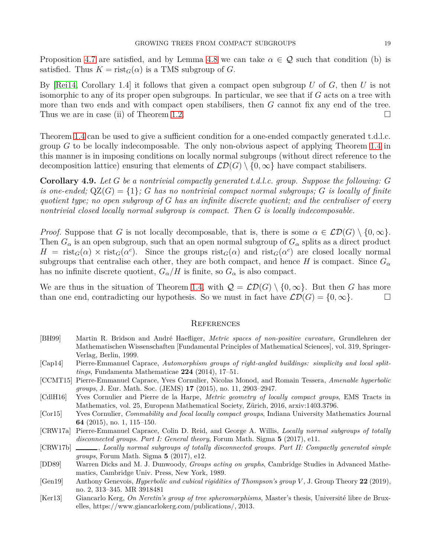Proposition [4.7](#page-16-0) are satisfied, and by Lemma [4.8](#page-17-0) we can take  $\alpha \in \mathcal{Q}$  such that condition (b) is satisfied. Thus  $K = \text{rist}_G(\alpha)$  is a TMS subgroup of *G*.

By [\[Rei14,](#page-19-9) Corollary 1.4] it follows that given a compact open subgroup *U* of *G*, then *U* is not isomorphic to any of its proper open subgroups. In particular, we see that if *G* acts on a tree with more than two ends and with compact open stabilisers, then *G* cannot fix any end of the tree. Thus we are in case (ii) of Theorem [1.2.](#page-1-0)

Theorem [1.4](#page-2-0) can be used to give a sufficient condition for a one-ended compactly generated t.d.l.c. group *G* to be locally indecomposable. The only non-obvious aspect of applying Theorem [1.4](#page-2-0) in this manner is in imposing conditions on locally normal subgroups (without direct reference to the decomposition lattice) ensuring that elements of  $\mathcal{LD}(G) \setminus \{0,\infty\}$  have compact stabilisers.

<span id="page-18-7"></span>**Corollary 4.9.** *Let G be a nontrivial compactly generated t.d.l.c. group. Suppose the following: G is one-ended;*  $QZ(G) = \{1\}$ ; *G* has no nontrivial compact normal subgroups; *G is locally of finite quotient type; no open subgroup of G has an infinite discrete quotient; and the centraliser of every nontrivial closed locally normal subgroup is compact. Then G is locally indecomposable.*

*Proof.* Suppose that *G* is not locally decomposable, that is, there is some  $\alpha \in \mathcal{LD}(G) \setminus \{0, \infty\}$ . Then  $G_{\alpha}$  is an open subgroup, such that an open normal subgroup of  $G_{\alpha}$  splits as a direct product  $H = \text{rist}_G(\alpha) \times \text{rist}_G(\alpha^c)$ . Since the groups  $\text{rist}_G(\alpha)$  and  $\text{rist}_G(\alpha^c)$  are closed locally normal subgroups that centralise each other, they are both compact, and hence *H* is compact. Since  $G_{\alpha}$ has no infinite discrete quotient,  $G_{\alpha}/H$  is finite, so  $G_{\alpha}$  is also compact.

We are thus in the situation of Theorem [1.4,](#page-2-0) with  $\mathcal{Q} = \mathcal{L}\mathcal{D}(G) \setminus \{0, \infty\}$ . But then *G* has more than one end, contradicting our hypothesis. So we must in fact have  $\mathcal{LD}(G) = \{0, \infty\}.$ 

### **REFERENCES**

- <span id="page-18-8"></span>[BH99] Martin R. Bridson and André Haefliger, *Metric spaces of non-positive curvature*, Grundlehren der Mathematischen Wissenschaften [Fundamental Principles of Mathematical Sciences], vol. 319, Springer-Verlag, Berlin, 1999.
- <span id="page-18-4"></span>[Cap14] Pierre-Emmanuel Caprace, *Automorphism groups of right-angled buildings: simplicity and local splittings*, Fundamenta Mathematicae **224** (2014), 17–51.
- <span id="page-18-6"></span>[CCMT15] Pierre-Emmanuel Caprace, Yves Cornulier, Nicolas Monod, and Romain Tessera, *Amenable hyperbolic groups*, J. Eur. Math. Soc. (JEMS) **17** (2015), no. 11, 2903–2947.
- <span id="page-18-9"></span>[CdlH16] Yves Cornulier and Pierre de la Harpe, *Metric geometry of locally compact groups*, EMS Tracts in Mathematics, vol. 25, European Mathematical Society, Zürich, 2016, arxiv:1403.3796.
- <span id="page-18-0"></span>[Cor15] Yves Cornulier, *Commability and focal locally compact groups*, Indiana University Mathematics Journal **64** (2015), no. 1, 115–150.
- <span id="page-18-1"></span>[CRW17a] Pierre-Emmanuel Caprace, Colin D. Reid, and George A. Willis, *Locally normal subgroups of totally disconnected groups. Part I: General theory*, Forum Math. Sigma **5** (2017), e11.
- <span id="page-18-5"></span>[CRW17b]  $\_\_\_\_\_\$ cally normal subgroups of totally disconnected groups. Part II: Compactly generated simple *groups*, Forum Math. Sigma **5** (2017), e12.
- <span id="page-18-10"></span>[DD89] Warren Dicks and M. J. Dunwoody, *Groups acting on graphs*, Cambridge Studies in Advanced Mathematics, Cambridge Univ. Press, New York, 1989.
- <span id="page-18-3"></span>[Gen19] Anthony Genevois, *Hyperbolic and cubical rigidities of Thompson's group V* , J. Group Theory **22** (2019), no. 2, 313–345. MR 3918481
- <span id="page-18-2"></span>[Ker13] Giancarlo Kerg, *On Neretin's group of tree spheromorphisms*, Master's thesis, Université libre de Bruxelles, https://www.giancarlokerg.com/publications/, 2013.